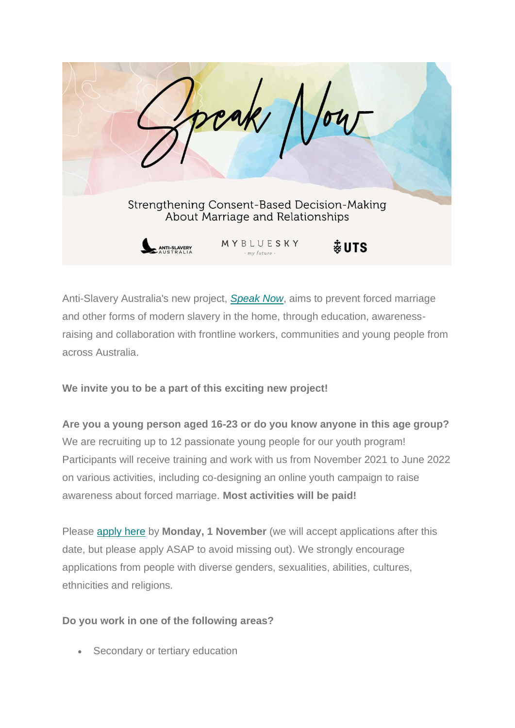

Anti-Slavery Australia's new project, *[Speak Now](https://antislavery.us7.list-manage.com/track/click?u=650941ce2cb9f4f0f9d5ae11e&id=c37ffdabe4&e=fb1f39dc14)*, aims to prevent forced marriage and other forms of modern slavery in the home, through education, awarenessraising and collaboration with frontline workers, communities and young people from across Australia.

**We invite you to be a part of this exciting new project!**

**Are you a young person aged 16-23 or do you know anyone in this age group?** We are recruiting up to 12 passionate young people for our youth program! Participants will receive training and work with us from November 2021 to June 2022 on various activities, including co-designing an online youth campaign to raise awareness about forced marriage. **Most activities will be paid!**

Please [apply here](https://antislavery.us7.list-manage.com/track/click?u=650941ce2cb9f4f0f9d5ae11e&id=3afd13e0d4&e=fb1f39dc14) by **Monday, 1 November** (we will accept applications after this date, but please apply ASAP to avoid missing out). We strongly encourage applications from people with diverse genders, sexualities, abilities, cultures, ethnicities and religions.

## **Do you work in one of the following areas?**

• Secondary or tertiary education